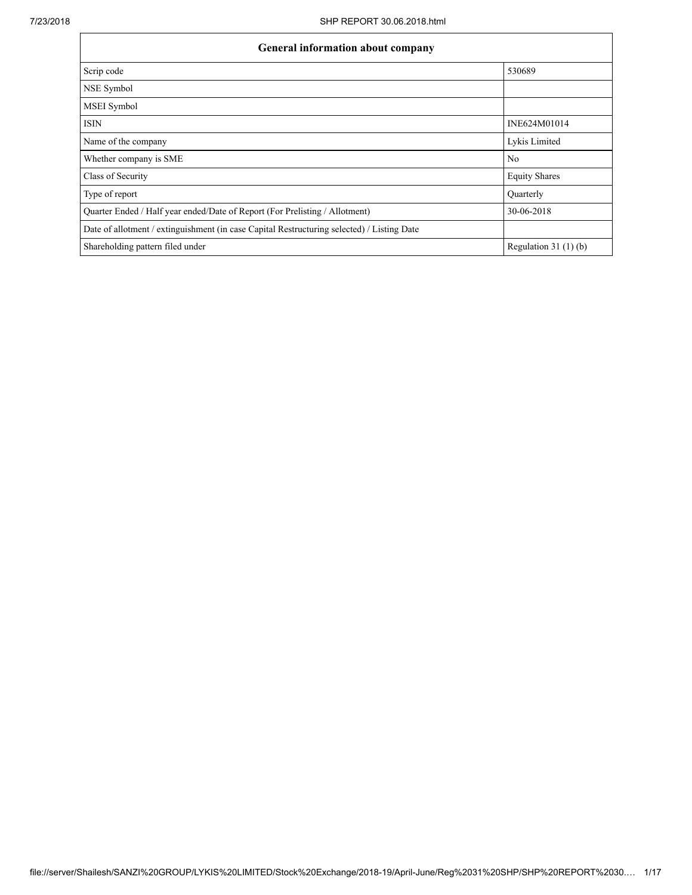$\mathbf{r}$ 

٦

| General information about company                                                          |                        |  |  |  |  |  |  |
|--------------------------------------------------------------------------------------------|------------------------|--|--|--|--|--|--|
| Scrip code                                                                                 | 530689                 |  |  |  |  |  |  |
| NSE Symbol                                                                                 |                        |  |  |  |  |  |  |
| <b>MSEI</b> Symbol                                                                         |                        |  |  |  |  |  |  |
| <b>ISIN</b>                                                                                | INE624M01014           |  |  |  |  |  |  |
| Name of the company                                                                        | Lykis Limited          |  |  |  |  |  |  |
| Whether company is SME                                                                     | No                     |  |  |  |  |  |  |
| Class of Security                                                                          | <b>Equity Shares</b>   |  |  |  |  |  |  |
| Type of report                                                                             | Quarterly              |  |  |  |  |  |  |
| Quarter Ended / Half year ended/Date of Report (For Prelisting / Allotment)                | 30-06-2018             |  |  |  |  |  |  |
| Date of allotment / extinguishment (in case Capital Restructuring selected) / Listing Date |                        |  |  |  |  |  |  |
| Shareholding pattern filed under                                                           | Regulation 31 $(1)(b)$ |  |  |  |  |  |  |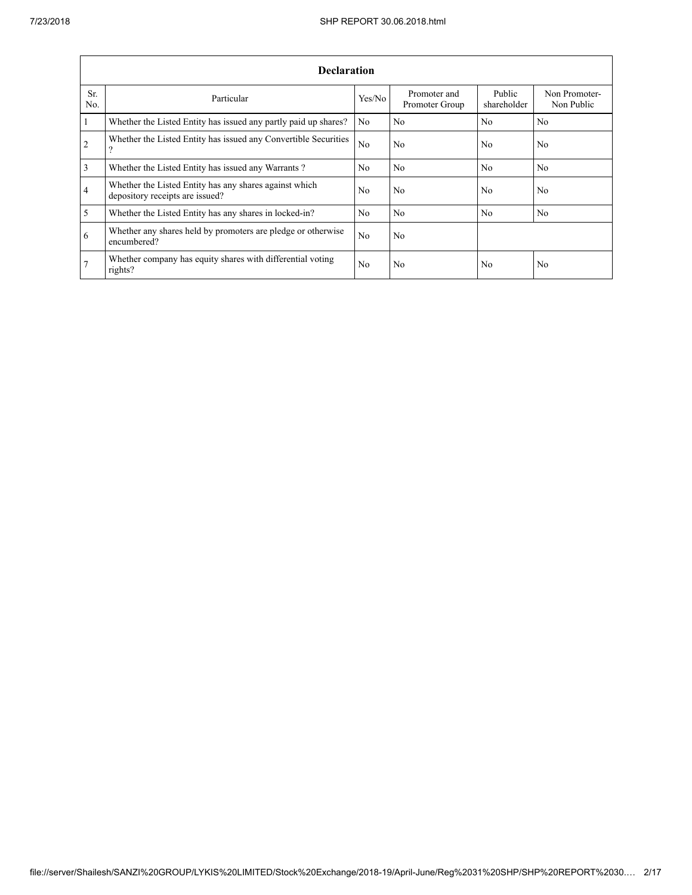|                 | <b>Declaration</b>                                                                        |                |                                |                       |                             |  |  |  |  |  |  |  |
|-----------------|-------------------------------------------------------------------------------------------|----------------|--------------------------------|-----------------------|-----------------------------|--|--|--|--|--|--|--|
| Sr.<br>No.      | Particular                                                                                | Yes/No         | Promoter and<br>Promoter Group | Public<br>shareholder | Non Promoter-<br>Non Public |  |  |  |  |  |  |  |
| $\mathbf{1}$    | Whether the Listed Entity has issued any partly paid up shares?                           | N <sub>0</sub> | N <sub>0</sub>                 | N <sub>0</sub>        | N <sub>0</sub>              |  |  |  |  |  |  |  |
| 2               | Whether the Listed Entity has issued any Convertible Securities<br>?                      | N <sub>0</sub> | N <sub>0</sub>                 | No.                   | N <sub>0</sub>              |  |  |  |  |  |  |  |
| $\overline{3}$  | Whether the Listed Entity has issued any Warrants?                                        | N <sub>0</sub> | N <sub>0</sub>                 | No.                   | N <sub>0</sub>              |  |  |  |  |  |  |  |
| $\overline{4}$  | Whether the Listed Entity has any shares against which<br>depository receipts are issued? | No.            | N <sub>0</sub>                 | No                    | N <sub>0</sub>              |  |  |  |  |  |  |  |
| 5               | Whether the Listed Entity has any shares in locked-in?                                    | N <sub>0</sub> | N <sub>0</sub>                 | N <sub>0</sub>        | N <sub>0</sub>              |  |  |  |  |  |  |  |
| 6               | Whether any shares held by promoters are pledge or otherwise<br>encumbered?               | N <sub>0</sub> | N <sub>0</sub>                 |                       |                             |  |  |  |  |  |  |  |
| $7\phantom{.0}$ | Whether company has equity shares with differential voting<br>rights?                     | N <sub>0</sub> | N <sub>0</sub>                 | No                    | N <sub>0</sub>              |  |  |  |  |  |  |  |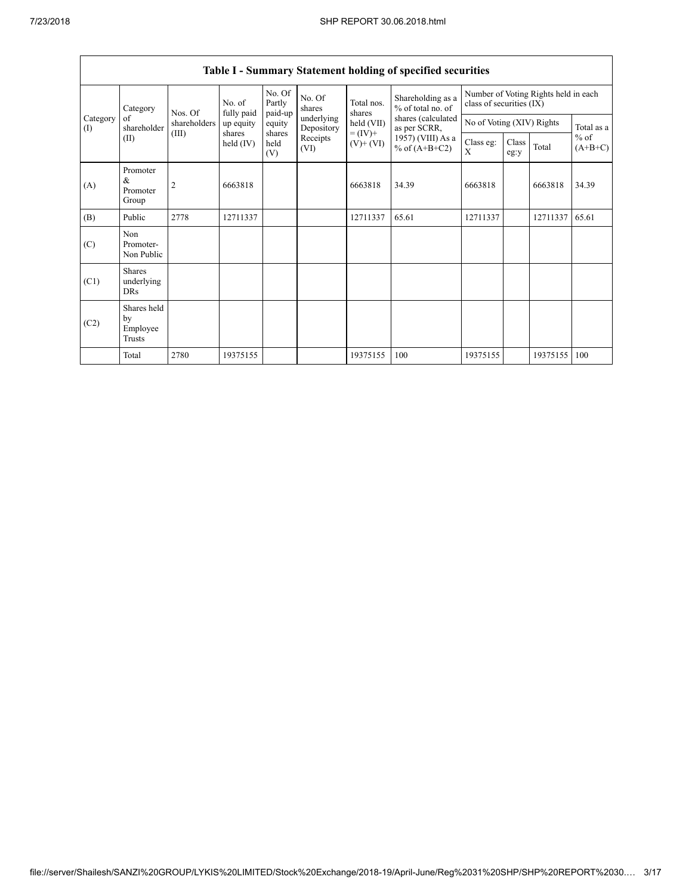|                 | Category                                  | Nos. Of        | No. of<br>fully paid  | No. Of<br>Partly<br>paid-up | No. Of<br>shares<br>underlying<br>Depository<br>Receipts<br>(VI) | Total nos.<br>shares         | Shareholding as a<br>% of total no. of<br>shares (calculated<br>as per SCRR, | Number of Voting Rights held in each<br>class of securities (IX) |               |          |                     |
|-----------------|-------------------------------------------|----------------|-----------------------|-----------------------------|------------------------------------------------------------------|------------------------------|------------------------------------------------------------------------------|------------------------------------------------------------------|---------------|----------|---------------------|
| Category<br>(1) | of<br>shareholder                         | shareholders   | up equity             | equity                      |                                                                  | held (VII)                   |                                                                              | No of Voting (XIV) Rights                                        |               |          | Total as a          |
|                 | (II)                                      | (III)          | shares<br>held $(IV)$ | shares<br>held<br>(V)       |                                                                  | $= (IV) +$<br>$(V)$ + $(VI)$ | 1957) (VIII) As a<br>% of $(A+B+C2)$                                         | Class eg:<br>X                                                   | Class<br>eg:y | Total    | $%$ of<br>$(A+B+C)$ |
| (A)             | Promoter<br>&<br>Promoter<br>Group        | $\overline{2}$ | 6663818               |                             |                                                                  | 6663818                      | 34.39                                                                        | 6663818                                                          |               | 6663818  | 34.39               |
| (B)             | Public                                    | 2778           | 12711337              |                             |                                                                  | 12711337                     | 65.61                                                                        | 12711337                                                         |               | 12711337 | 65.61               |
| (C)             | Non<br>Promoter-<br>Non Public            |                |                       |                             |                                                                  |                              |                                                                              |                                                                  |               |          |                     |
| (C1)            | <b>Shares</b><br>underlying<br><b>DRs</b> |                |                       |                             |                                                                  |                              |                                                                              |                                                                  |               |          |                     |
| (C2)            | Shares held<br>by<br>Employee<br>Trusts   |                |                       |                             |                                                                  |                              |                                                                              |                                                                  |               |          |                     |
|                 | Total                                     | 2780           | 19375155              |                             |                                                                  | 19375155                     | 100                                                                          | 19375155                                                         |               | 19375155 | 100                 |

## **Table I - Summary Statement holding of specified securities**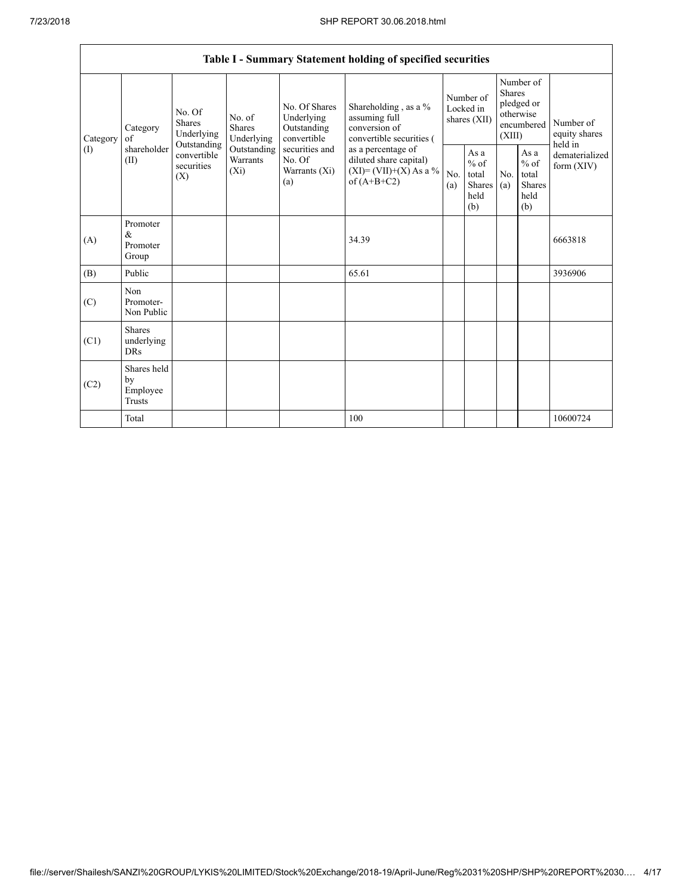|                 | Table I - Summary Statement holding of specified securities |                                                                                                                                                                         |                                                  |                                                                                          |                                                                                    |                                                  |            |                                                                               |                              |                                       |  |
|-----------------|-------------------------------------------------------------|-------------------------------------------------------------------------------------------------------------------------------------------------------------------------|--------------------------------------------------|------------------------------------------------------------------------------------------|------------------------------------------------------------------------------------|--------------------------------------------------|------------|-------------------------------------------------------------------------------|------------------------------|---------------------------------------|--|
| Category<br>(I) | Category<br>of<br>shareholder<br>(II)                       | No. Of<br>No. of<br><b>Shares</b><br><b>Shares</b><br>Underlying<br>Underlying<br>Outstanding<br>Outstanding<br>convertible<br>Warrants<br>securities<br>$(X_i)$<br>(X) |                                                  | No. Of Shares<br>Underlying<br>Outstanding<br>convertible                                | Shareholding, as a %<br>assuming full<br>conversion of<br>convertible securities ( | Number of<br>Locked in<br>shares (XII)           |            | Number of<br><b>Shares</b><br>pledged or<br>otherwise<br>encumbered<br>(XIII) |                              | Number of<br>equity shares<br>held in |  |
|                 |                                                             |                                                                                                                                                                         | securities and<br>No. Of<br>Warrants (Xi)<br>(a) | as a percentage of<br>diluted share capital)<br>$(XI)=(VII)+(X) As a %$<br>of $(A+B+C2)$ | No.<br>(a)                                                                         | As a<br>$%$ of<br>total<br>Shares<br>held<br>(b) | No.<br>(a) | As $\mathbf{a}$<br>$%$ of<br>total<br><b>Shares</b><br>held<br>(b)            | dematerialized<br>form (XIV) |                                       |  |
| (A)             | Promoter<br>&<br>Promoter<br>Group                          |                                                                                                                                                                         |                                                  |                                                                                          | 34.39                                                                              |                                                  |            |                                                                               |                              | 6663818                               |  |
| (B)             | Public                                                      |                                                                                                                                                                         |                                                  |                                                                                          | 65.61                                                                              |                                                  |            |                                                                               |                              | 3936906                               |  |
| (C)             | Non<br>Promoter-<br>Non Public                              |                                                                                                                                                                         |                                                  |                                                                                          |                                                                                    |                                                  |            |                                                                               |                              |                                       |  |
| (C1)            | <b>Shares</b><br>underlying<br><b>DRs</b>                   |                                                                                                                                                                         |                                                  |                                                                                          |                                                                                    |                                                  |            |                                                                               |                              |                                       |  |
| (C2)            | Shares held<br>by<br>Employee<br><b>Trusts</b>              |                                                                                                                                                                         |                                                  |                                                                                          |                                                                                    |                                                  |            |                                                                               |                              |                                       |  |
|                 | Total                                                       |                                                                                                                                                                         |                                                  |                                                                                          | 100                                                                                |                                                  |            |                                                                               |                              | 10600724                              |  |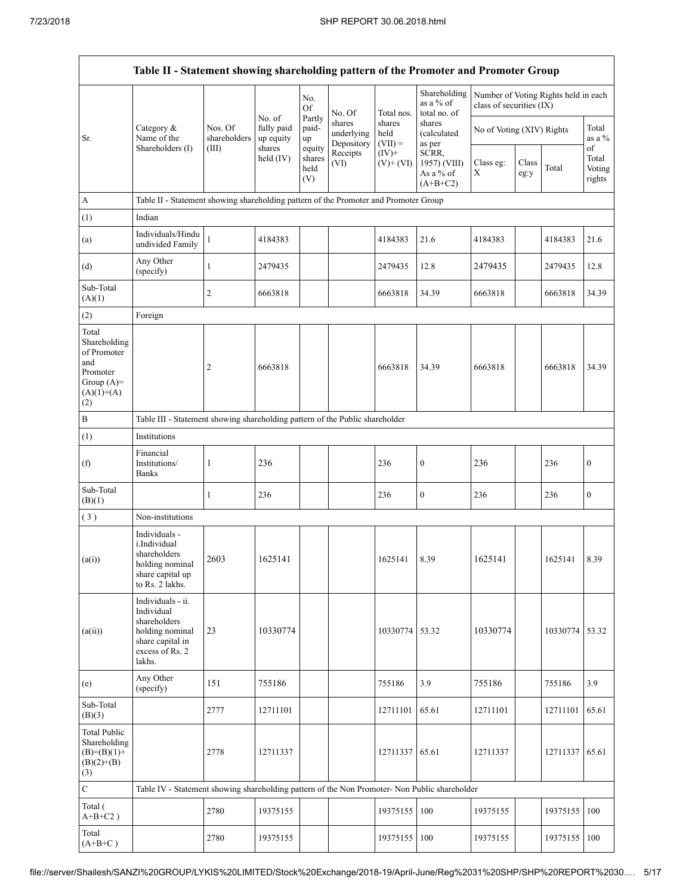|                                                                                                | Table II - Statement showing shareholding pattern of the Promoter and Promoter Group                                |                                                                              |                                             |                                 |                                    |                             |                                                  |                           |               |                                      |                           |
|------------------------------------------------------------------------------------------------|---------------------------------------------------------------------------------------------------------------------|------------------------------------------------------------------------------|---------------------------------------------|---------------------------------|------------------------------------|-----------------------------|--------------------------------------------------|---------------------------|---------------|--------------------------------------|---------------------------|
|                                                                                                |                                                                                                                     |                                                                              |                                             | No.<br>Of                       | No. Of                             | Total nos.                  | Shareholding<br>as a % of<br>total no. of        | class of securities (IX)  |               | Number of Voting Rights held in each |                           |
| Sr.                                                                                            | Category &<br>Name of the<br>Shareholders (I)                                                                       | Nos. Of<br>shareholders                                                      | No. of<br>fully paid<br>up equity<br>shares | Partly<br>paid-<br>up           | shares<br>underlying<br>Depository | shares<br>held<br>$(VII) =$ | shares<br>(calculated<br>as per                  | No of Voting (XIV) Rights |               |                                      | Total<br>as a %<br>of     |
|                                                                                                |                                                                                                                     | (III)                                                                        | held $(IV)$                                 | equity<br>shares<br>held<br>(V) | Receipts<br>(VI)                   | $(IV)+$<br>$(V)+(VI)$       | SCRR,<br>1957) (VIII)<br>As a % of<br>$(A+B+C2)$ | Class eg:<br>Χ            | Class<br>eg:y | Total                                | Total<br>Voting<br>rights |
| A                                                                                              | Table II - Statement showing shareholding pattern of the Promoter and Promoter Group                                |                                                                              |                                             |                                 |                                    |                             |                                                  |                           |               |                                      |                           |
| (1)                                                                                            | Indian                                                                                                              |                                                                              |                                             |                                 |                                    |                             |                                                  |                           |               |                                      |                           |
| (a)                                                                                            | Individuals/Hindu<br>undivided Family                                                                               | 1                                                                            | 4184383                                     |                                 |                                    | 4184383                     | 21.6                                             | 4184383                   |               | 4184383                              | 21.6                      |
| (d)                                                                                            | Any Other<br>(specify)                                                                                              | $\mathbf{1}$                                                                 | 2479435                                     |                                 |                                    | 2479435                     | 12.8                                             | 2479435                   |               | 2479435                              | 12.8                      |
| Sub-Total<br>(A)(1)                                                                            |                                                                                                                     | $\overline{2}$                                                               | 6663818                                     |                                 |                                    | 6663818                     | 34.39                                            | 6663818                   |               | 6663818                              | 34.39                     |
| (2)                                                                                            | Foreign                                                                                                             |                                                                              |                                             |                                 |                                    |                             |                                                  |                           |               |                                      |                           |
| Total<br>Shareholding<br>of Promoter<br>and<br>Promoter<br>Group $(A)=$<br>$(A)(1)+(A)$<br>(2) |                                                                                                                     | 2                                                                            | 6663818                                     |                                 |                                    | 6663818                     | 34.39                                            | 6663818                   |               | 6663818                              | 34.39                     |
| B                                                                                              |                                                                                                                     | Table III - Statement showing shareholding pattern of the Public shareholder |                                             |                                 |                                    |                             |                                                  |                           |               |                                      |                           |
| (1)                                                                                            | Institutions                                                                                                        |                                                                              |                                             |                                 |                                    |                             |                                                  |                           |               |                                      |                           |
| (f)                                                                                            | Financial<br>Institutions/<br><b>Banks</b>                                                                          | 1                                                                            | 236                                         |                                 |                                    | 236                         | $\boldsymbol{0}$                                 | 236                       |               | 236                                  | $\boldsymbol{0}$          |
| Sub-Total<br>(B)(1)                                                                            |                                                                                                                     | 1                                                                            | 236                                         |                                 |                                    | 236                         | $\boldsymbol{0}$                                 | 236                       |               | 236                                  | $\bf{0}$                  |
| (3)                                                                                            | Non-institutions                                                                                                    |                                                                              |                                             |                                 |                                    |                             |                                                  |                           |               |                                      |                           |
| (a(i))                                                                                         | Individuals -<br>i.Individual<br>shareholders<br>holding nominal<br>share capital up<br>to Rs. 2 lakhs.             | 2603                                                                         | 1625141                                     |                                 |                                    | 1625141                     | 8.39                                             | 1625141                   |               | 1625141                              | 8.39                      |
| (a(ii))                                                                                        | Individuals - ii.<br>Individual<br>shareholders<br>holding nominal<br>share capital in<br>excess of Rs. 2<br>lakhs. | 23                                                                           | 10330774                                    |                                 |                                    | 10330774 53.32              |                                                  | 10330774                  |               | 10330774                             | 53.32                     |
| (e)                                                                                            | Any Other<br>(specify)                                                                                              | 151                                                                          | 755186                                      |                                 |                                    | 755186                      | 3.9                                              | 755186                    |               | 755186                               | 3.9                       |
| Sub-Total<br>(B)(3)                                                                            |                                                                                                                     | 2777                                                                         | 12711101                                    |                                 |                                    | 12711101                    | 65.61                                            | 12711101                  |               | 12711101                             | 65.61                     |
| <b>Total Public</b><br>Shareholding<br>$(B)= (B)(1) +$<br>$(B)(2)+(B)$<br>(3)                  |                                                                                                                     | 2778                                                                         | 12711337                                    |                                 |                                    | 12711337 65.61              |                                                  | 12711337                  |               | 12711337                             | 65.61                     |
| $\mathbf C$                                                                                    | Table IV - Statement showing shareholding pattern of the Non Promoter- Non Public shareholder                       |                                                                              |                                             |                                 |                                    |                             |                                                  |                           |               |                                      |                           |
| Total (<br>$A+B+C2$ )                                                                          |                                                                                                                     | 2780                                                                         | 19375155                                    |                                 |                                    | 19375155                    | 100                                              | 19375155                  |               | 19375155                             | 100                       |
| Total<br>$(A+B+C)$                                                                             |                                                                                                                     | 2780                                                                         | 19375155                                    |                                 |                                    | 19375155                    | 100                                              | 19375155                  |               | 19375155                             | 100                       |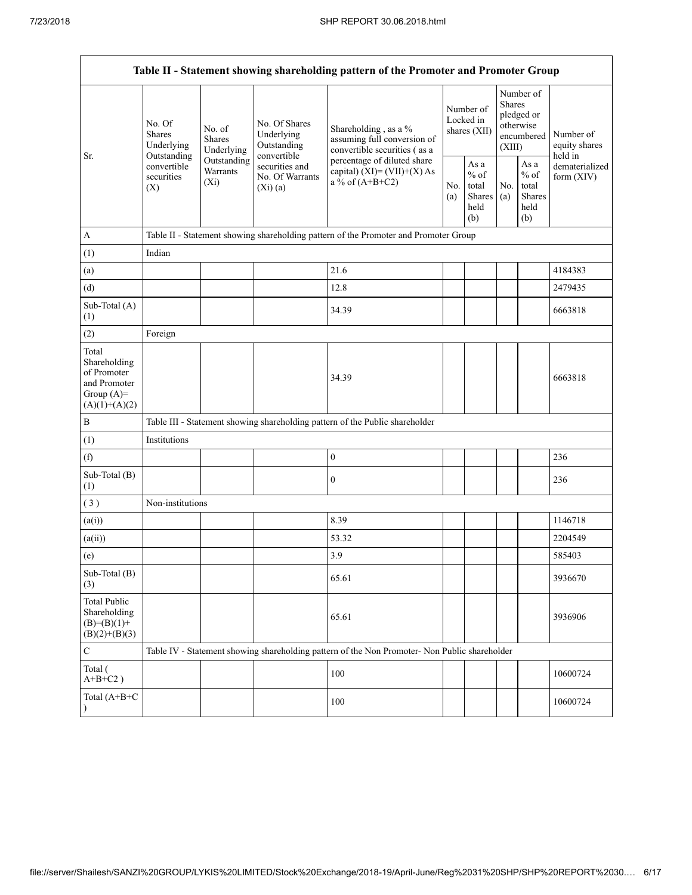| Table II - Statement showing shareholding pattern of the Promoter and Promoter Group    |                                                                                      |                                    |                                                             |                                                                                                                                                                           |  |                                                         |            |                                                                        |                                       |  |  |
|-----------------------------------------------------------------------------------------|--------------------------------------------------------------------------------------|------------------------------------|-------------------------------------------------------------|---------------------------------------------------------------------------------------------------------------------------------------------------------------------------|--|---------------------------------------------------------|------------|------------------------------------------------------------------------|---------------------------------------|--|--|
| Sr.                                                                                     | No. Of<br>No. of<br>Shares<br><b>Shares</b><br>Underlying                            | Underlying                         | No. Of Shares<br>Underlying<br>Outstanding                  | Shareholding, as a %<br>assuming full conversion of<br>convertible securities (as a<br>percentage of diluted share<br>capital) $(XI) = (VII)+(X) As$<br>a % of $(A+B+C2)$ |  | Number of<br>Locked in<br>shares (XII)                  |            | Number of<br>Shares<br>pledged or<br>otherwise<br>encumbered<br>(XIII) | Number of<br>equity shares<br>held in |  |  |
|                                                                                         | Outstanding<br>convertible<br>securities<br>(X)                                      | Outstanding<br>Warrants<br>$(X_i)$ | convertible<br>securities and<br>No. Of Warrants<br>(Xi)(a) |                                                                                                                                                                           |  | As a<br>$%$ of<br>total<br><b>Shares</b><br>held<br>(b) | No.<br>(a) | As a<br>$%$ of<br>total<br>Shares<br>held<br>(b)                       | dematerialized<br>form $(XIV)$        |  |  |
| $\mathbf{A}$                                                                            | Table II - Statement showing shareholding pattern of the Promoter and Promoter Group |                                    |                                                             |                                                                                                                                                                           |  |                                                         |            |                                                                        |                                       |  |  |
| (1)                                                                                     | Indian                                                                               |                                    |                                                             |                                                                                                                                                                           |  |                                                         |            |                                                                        |                                       |  |  |
| (a)                                                                                     |                                                                                      |                                    |                                                             | 21.6                                                                                                                                                                      |  |                                                         |            |                                                                        | 4184383                               |  |  |
| (d)                                                                                     |                                                                                      |                                    |                                                             | 12.8                                                                                                                                                                      |  |                                                         |            |                                                                        | 2479435                               |  |  |
| Sub-Total (A)<br>(1)                                                                    |                                                                                      |                                    |                                                             | 34.39                                                                                                                                                                     |  |                                                         |            |                                                                        | 6663818                               |  |  |
| (2)                                                                                     | Foreign                                                                              |                                    |                                                             |                                                                                                                                                                           |  |                                                         |            |                                                                        |                                       |  |  |
| Total<br>Shareholding<br>of Promoter<br>and Promoter<br>Group $(A)=$<br>$(A)(1)+(A)(2)$ |                                                                                      |                                    |                                                             | 34.39                                                                                                                                                                     |  |                                                         |            |                                                                        | 6663818                               |  |  |
| $\, {\bf B}$                                                                            |                                                                                      |                                    |                                                             | Table III - Statement showing shareholding pattern of the Public shareholder                                                                                              |  |                                                         |            |                                                                        |                                       |  |  |
| (1)                                                                                     | Institutions                                                                         |                                    |                                                             |                                                                                                                                                                           |  |                                                         |            |                                                                        |                                       |  |  |
| (f)                                                                                     |                                                                                      |                                    |                                                             | $\boldsymbol{0}$                                                                                                                                                          |  |                                                         |            |                                                                        | 236                                   |  |  |
| Sub-Total (B)<br>(1)                                                                    |                                                                                      |                                    |                                                             | $\mathbf{0}$                                                                                                                                                              |  |                                                         |            |                                                                        | 236                                   |  |  |
| (3)                                                                                     | Non-institutions                                                                     |                                    |                                                             |                                                                                                                                                                           |  |                                                         |            |                                                                        |                                       |  |  |
| (a(i))                                                                                  |                                                                                      |                                    |                                                             | 8.39                                                                                                                                                                      |  |                                                         |            |                                                                        | 1146718                               |  |  |
| (a(ii))                                                                                 |                                                                                      |                                    |                                                             | 53.32                                                                                                                                                                     |  |                                                         |            |                                                                        | 2204549                               |  |  |
| (e)                                                                                     |                                                                                      |                                    |                                                             | 3.9                                                                                                                                                                       |  |                                                         |            |                                                                        | 585403                                |  |  |
| Sub-Total (B)<br>(3)                                                                    |                                                                                      |                                    |                                                             | 65.61                                                                                                                                                                     |  |                                                         |            |                                                                        | 3936670                               |  |  |
| <b>Total Public</b><br>Shareholding<br>$(B)= (B)(1) +$<br>$(B)(2)+(B)(3)$               |                                                                                      |                                    |                                                             | 65.61                                                                                                                                                                     |  |                                                         |            |                                                                        | 3936906                               |  |  |
| $\mathbf C$                                                                             |                                                                                      |                                    |                                                             | Table IV - Statement showing shareholding pattern of the Non Promoter- Non Public shareholder                                                                             |  |                                                         |            |                                                                        |                                       |  |  |
| Total (<br>$A+B+C2$ )                                                                   |                                                                                      |                                    |                                                             | 100                                                                                                                                                                       |  |                                                         |            |                                                                        | 10600724                              |  |  |
| Total (A+B+C                                                                            |                                                                                      |                                    |                                                             | 100                                                                                                                                                                       |  |                                                         |            |                                                                        | 10600724                              |  |  |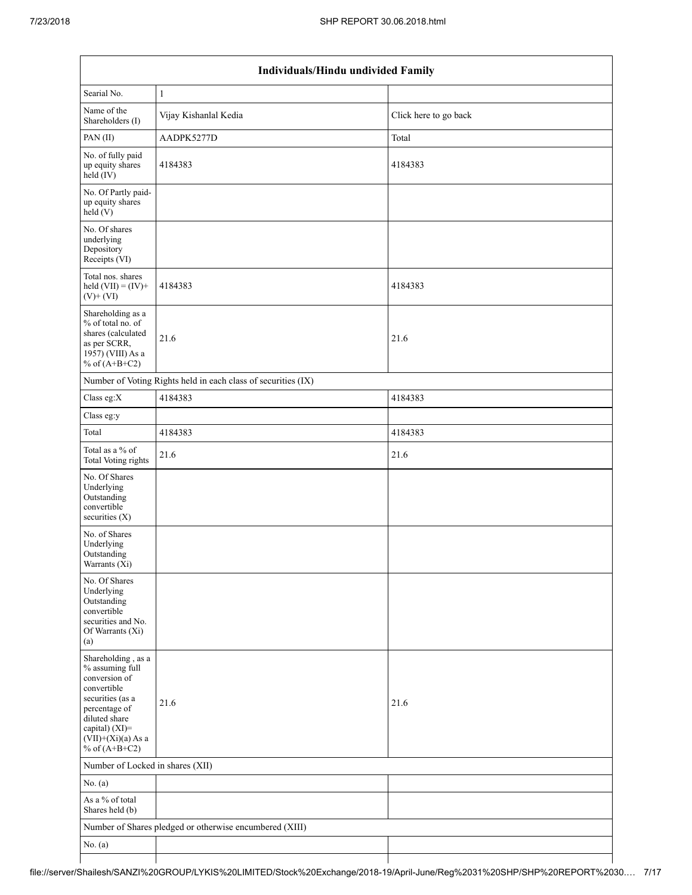|                                                                                                                                                                                          | Individuals/Hindu undivided Family                            |                       |  |  |  |  |  |  |  |  |
|------------------------------------------------------------------------------------------------------------------------------------------------------------------------------------------|---------------------------------------------------------------|-----------------------|--|--|--|--|--|--|--|--|
| Searial No.                                                                                                                                                                              | $\mathbf{1}$                                                  |                       |  |  |  |  |  |  |  |  |
| Name of the<br>Shareholders (I)                                                                                                                                                          | Vijay Kishanlal Kedia                                         | Click here to go back |  |  |  |  |  |  |  |  |
| PAN (II)                                                                                                                                                                                 | AADPK5277D                                                    | Total                 |  |  |  |  |  |  |  |  |
| No. of fully paid<br>up equity shares<br>$held$ (IV)                                                                                                                                     | 4184383                                                       | 4184383               |  |  |  |  |  |  |  |  |
| No. Of Partly paid-<br>up equity shares<br>held(V)                                                                                                                                       |                                                               |                       |  |  |  |  |  |  |  |  |
| No. Of shares<br>underlying<br>Depository<br>Receipts (VI)                                                                                                                               |                                                               |                       |  |  |  |  |  |  |  |  |
| Total nos. shares<br>held $(VII) = (IV) +$<br>$(V)$ + $(VI)$                                                                                                                             | 4184383                                                       | 4184383               |  |  |  |  |  |  |  |  |
| Shareholding as a<br>% of total no. of<br>shares (calculated<br>as per SCRR,<br>1957) (VIII) As a<br>% of $(A+B+C2)$                                                                     | 21.6                                                          | 21.6                  |  |  |  |  |  |  |  |  |
|                                                                                                                                                                                          | Number of Voting Rights held in each class of securities (IX) |                       |  |  |  |  |  |  |  |  |
| Class eg:X                                                                                                                                                                               | 4184383                                                       | 4184383               |  |  |  |  |  |  |  |  |
| Class eg:y                                                                                                                                                                               |                                                               |                       |  |  |  |  |  |  |  |  |
| Total                                                                                                                                                                                    | 4184383                                                       | 4184383               |  |  |  |  |  |  |  |  |
| Total as a % of<br><b>Total Voting rights</b>                                                                                                                                            | 21.6                                                          | 21.6                  |  |  |  |  |  |  |  |  |
| No. Of Shares<br>Underlying<br>Outstanding<br>convertible<br>securities $(X)$                                                                                                            |                                                               |                       |  |  |  |  |  |  |  |  |
| No. of Shares<br>Underlying<br>Outstanding<br>Warrants (X1)                                                                                                                              |                                                               |                       |  |  |  |  |  |  |  |  |
| No. Of Shares<br>Underlying<br>Outstanding<br>convertible<br>securities and No.<br>Of Warrants (Xi)<br>(a)                                                                               |                                                               |                       |  |  |  |  |  |  |  |  |
| Shareholding, as a<br>% assuming full<br>conversion of<br>convertible<br>securities (as a<br>percentage of<br>diluted share<br>capital) (XI)=<br>$(VII)+(Xi)(a)$ As a<br>% of $(A+B+C2)$ | 21.6                                                          | 21.6                  |  |  |  |  |  |  |  |  |
| Number of Locked in shares (XII)                                                                                                                                                         |                                                               |                       |  |  |  |  |  |  |  |  |
| No. $(a)$                                                                                                                                                                                |                                                               |                       |  |  |  |  |  |  |  |  |
| As a % of total<br>Shares held (b)                                                                                                                                                       |                                                               |                       |  |  |  |  |  |  |  |  |
|                                                                                                                                                                                          | Number of Shares pledged or otherwise encumbered (XIII)       |                       |  |  |  |  |  |  |  |  |
| No. $(a)$                                                                                                                                                                                |                                                               |                       |  |  |  |  |  |  |  |  |
|                                                                                                                                                                                          |                                                               |                       |  |  |  |  |  |  |  |  |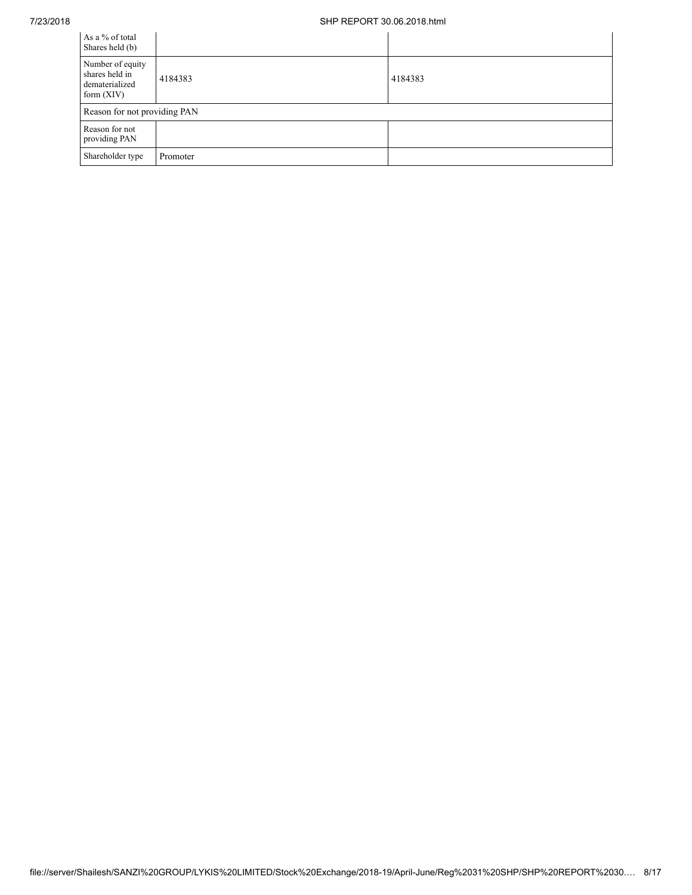## 7/23/2018 SHP REPORT 30.06.2018.html

| As a % of total<br>Shares held (b)                                   |          |         |
|----------------------------------------------------------------------|----------|---------|
| Number of equity<br>shares held in<br>dematerialized<br>form $(XIV)$ | 4184383  | 4184383 |
| Reason for not providing PAN                                         |          |         |
| Reason for not<br>providing PAN                                      |          |         |
| Shareholder type                                                     | Promoter |         |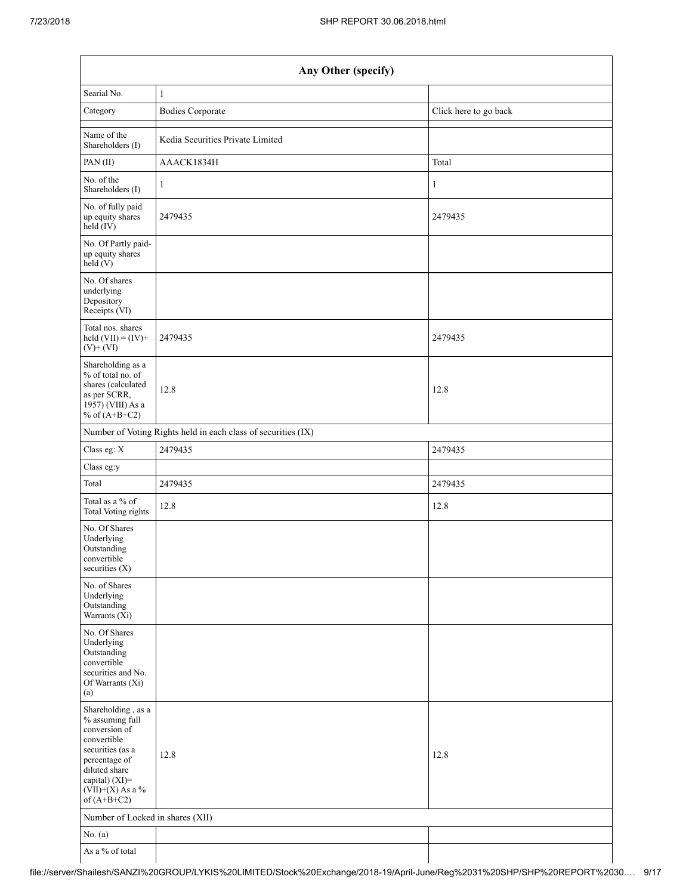|                                                                                                                                                                                      | Any Other (specify)                                           |                       |  |  |  |  |  |  |  |  |
|--------------------------------------------------------------------------------------------------------------------------------------------------------------------------------------|---------------------------------------------------------------|-----------------------|--|--|--|--|--|--|--|--|
| Searial No.                                                                                                                                                                          | $\mathbf{1}$                                                  |                       |  |  |  |  |  |  |  |  |
| Category                                                                                                                                                                             | <b>Bodies Corporate</b>                                       | Click here to go back |  |  |  |  |  |  |  |  |
| Name of the<br>Shareholders (I)                                                                                                                                                      | Kedia Securities Private Limited                              |                       |  |  |  |  |  |  |  |  |
| PAN(II)                                                                                                                                                                              | AAACK1834H                                                    | Total                 |  |  |  |  |  |  |  |  |
| No. of the<br>Shareholders (I)                                                                                                                                                       | 1                                                             | 1                     |  |  |  |  |  |  |  |  |
| No. of fully paid<br>up equity shares<br>$held$ (IV)                                                                                                                                 | 2479435                                                       | 2479435               |  |  |  |  |  |  |  |  |
| No. Of Partly paid-<br>up equity shares<br>held(V)                                                                                                                                   |                                                               |                       |  |  |  |  |  |  |  |  |
| No. Of shares<br>underlying<br>Depository<br>Receipts (VI)                                                                                                                           |                                                               |                       |  |  |  |  |  |  |  |  |
| Total nos. shares<br>held $(VII) = (IV) +$<br>$(V)$ + $(VI)$                                                                                                                         | 2479435                                                       | 2479435               |  |  |  |  |  |  |  |  |
| Shareholding as a<br>% of total no. of<br>shares (calculated<br>as per SCRR,<br>1957) (VIII) As a<br>% of $(A+B+C2)$                                                                 | 12.8                                                          | 12.8                  |  |  |  |  |  |  |  |  |
|                                                                                                                                                                                      | Number of Voting Rights held in each class of securities (IX) |                       |  |  |  |  |  |  |  |  |
| Class eg: X                                                                                                                                                                          | 2479435                                                       | 2479435               |  |  |  |  |  |  |  |  |
| Class eg:y                                                                                                                                                                           |                                                               |                       |  |  |  |  |  |  |  |  |
| Total                                                                                                                                                                                | 2479435                                                       | 2479435               |  |  |  |  |  |  |  |  |
| Total as a % of<br>Total Voting rights                                                                                                                                               | 12.8                                                          | 12.8                  |  |  |  |  |  |  |  |  |
| No. Of Shares<br>Underlying<br>Outstanding<br>convertible<br>securities $(X)$                                                                                                        |                                                               |                       |  |  |  |  |  |  |  |  |
| No. of Shares<br>Underlying<br>Outstanding<br>Warrants (Xi)                                                                                                                          |                                                               |                       |  |  |  |  |  |  |  |  |
| No. Of Shares<br>Underlying<br>Outstanding<br>convertible<br>securities and No.<br>Of Warrants (Xi)<br>(a)                                                                           |                                                               |                       |  |  |  |  |  |  |  |  |
| Shareholding, as a<br>% assuming full<br>conversion of<br>convertible<br>securities (as a<br>percentage of<br>diluted share<br>capital) (XI)=<br>$(VII)+(X)$ As a %<br>of $(A+B+C2)$ | 12.8                                                          | 12.8                  |  |  |  |  |  |  |  |  |
| Number of Locked in shares (XII)                                                                                                                                                     |                                                               |                       |  |  |  |  |  |  |  |  |
| No. (a)                                                                                                                                                                              |                                                               |                       |  |  |  |  |  |  |  |  |
| As a % of total                                                                                                                                                                      |                                                               |                       |  |  |  |  |  |  |  |  |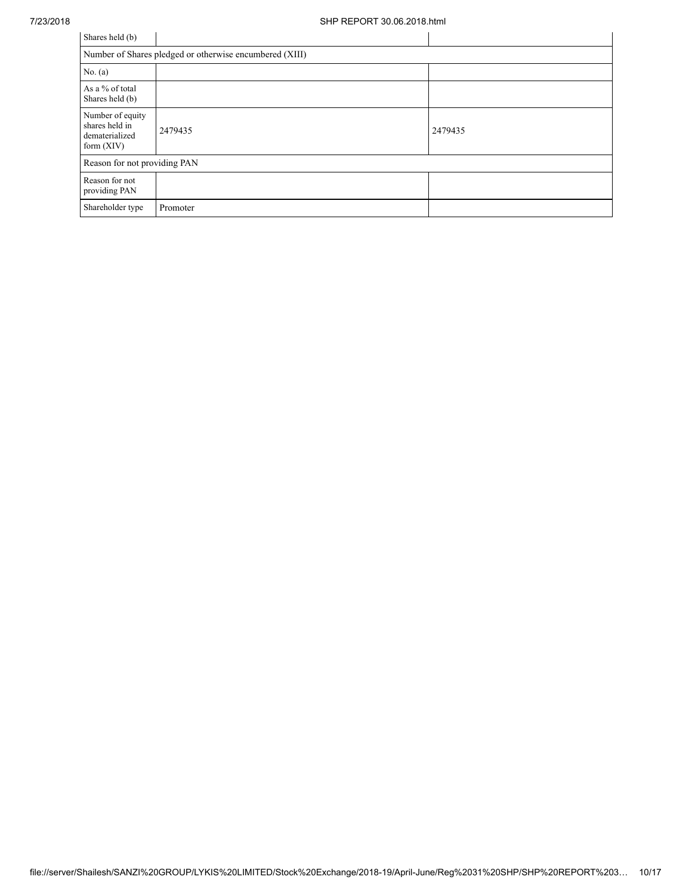| Shares held (b)                                                      |          |         |  |  |  |  |  |  |  |
|----------------------------------------------------------------------|----------|---------|--|--|--|--|--|--|--|
| Number of Shares pledged or otherwise encumbered (XIII)              |          |         |  |  |  |  |  |  |  |
| No. $(a)$                                                            |          |         |  |  |  |  |  |  |  |
| As a % of total<br>Shares held (b)                                   |          |         |  |  |  |  |  |  |  |
| Number of equity<br>shares held in<br>dematerialized<br>form $(XIV)$ | 2479435  | 2479435 |  |  |  |  |  |  |  |
| Reason for not providing PAN                                         |          |         |  |  |  |  |  |  |  |
| Reason for not<br>providing PAN                                      |          |         |  |  |  |  |  |  |  |
| Shareholder type                                                     | Promoter |         |  |  |  |  |  |  |  |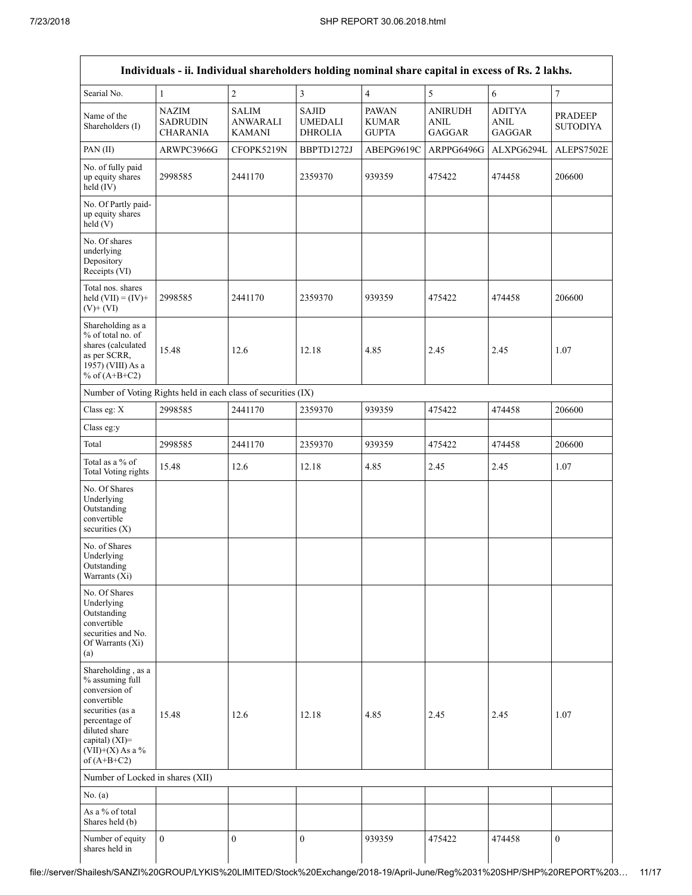|                                                                                                                                                                                      | Individuals - ii. Individual shareholders holding nominal share capital in excess of Rs. 2 lakhs. |                                           |                                           |                                              |                                         |                                 |                            |
|--------------------------------------------------------------------------------------------------------------------------------------------------------------------------------------|---------------------------------------------------------------------------------------------------|-------------------------------------------|-------------------------------------------|----------------------------------------------|-----------------------------------------|---------------------------------|----------------------------|
| Searial No.                                                                                                                                                                          | 1                                                                                                 | $\overline{2}$                            | 3                                         | $\overline{4}$                               | 5                                       | 6                               | 7                          |
| Name of the<br>Shareholders (I)                                                                                                                                                      | <b>NAZIM</b><br><b>SADRUDIN</b><br><b>CHARANIA</b>                                                | <b>SALIM</b><br><b>ANWARALI</b><br>KAMANI | <b>SAJID</b><br><b>UMEDALI</b><br>DHROLIA | <b>PAWAN</b><br><b>KUMAR</b><br><b>GUPTA</b> | <b>ANIRUDH</b><br>ANIL<br><b>GAGGAR</b> | <b>ADITYA</b><br>ANIL<br>GAGGAR | PRADEEP<br><b>SUTODIYA</b> |
| PAN (II)                                                                                                                                                                             | ARWPC3966G                                                                                        | CFOPK5219N                                | BBPTD1272J                                | ABEPG9619C                                   | ARPPG6496G                              | ALXPG6294L                      | ALEPS7502E                 |
| No. of fully paid<br>up equity shares<br>held (IV)                                                                                                                                   | 2998585                                                                                           | 2441170                                   | 2359370                                   | 939359                                       | 475422                                  | 474458                          | 206600                     |
| No. Of Partly paid-<br>up equity shares<br>held(V)                                                                                                                                   |                                                                                                   |                                           |                                           |                                              |                                         |                                 |                            |
| No. Of shares<br>underlying<br>Depository<br>Receipts (VI)                                                                                                                           |                                                                                                   |                                           |                                           |                                              |                                         |                                 |                            |
| Total nos. shares<br>held $(VII) = (IV) +$<br>$(V)$ + $(VI)$                                                                                                                         | 2998585                                                                                           | 2441170                                   | 2359370                                   | 939359                                       | 475422                                  | 474458                          | 206600                     |
| Shareholding as a<br>% of total no. of<br>shares (calculated<br>as per SCRR,<br>1957) (VIII) As a<br>% of $(A+B+C2)$                                                                 | 15.48                                                                                             | 12.6                                      | 12.18                                     | 4.85                                         | 2.45                                    | 2.45                            | 1.07                       |
| Number of Voting Rights held in each class of securities (IX)                                                                                                                        |                                                                                                   |                                           |                                           |                                              |                                         |                                 |                            |
| Class eg: X                                                                                                                                                                          | 2998585                                                                                           | 2441170                                   | 2359370                                   | 939359                                       | 475422                                  | 474458                          | 206600                     |
| Class eg:y                                                                                                                                                                           |                                                                                                   |                                           |                                           |                                              |                                         |                                 |                            |
| Total                                                                                                                                                                                | 2998585                                                                                           | 2441170                                   | 2359370                                   | 939359                                       | 475422                                  | 474458                          | 206600                     |
| Total as a % of<br>Total Voting rights                                                                                                                                               | 15.48                                                                                             | 12.6                                      | 12.18                                     | 4.85                                         | 2.45                                    | 2.45                            | 1.07                       |
| No. Of Shares<br>Underlying<br>Outstanding<br>convertible<br>securities $(X)$                                                                                                        |                                                                                                   |                                           |                                           |                                              |                                         |                                 |                            |
| No. of Shares<br>Underlying<br>Outstanding<br>Warrants (Xi)                                                                                                                          |                                                                                                   |                                           |                                           |                                              |                                         |                                 |                            |
| No. Of Shares<br>Underlying<br>Outstanding<br>convertible<br>securities and No.<br>Of Warrants (Xi)<br>(a)                                                                           |                                                                                                   |                                           |                                           |                                              |                                         |                                 |                            |
| Shareholding, as a<br>% assuming full<br>conversion of<br>convertible<br>securities (as a<br>percentage of<br>diluted share<br>capital) (XI)=<br>$(VII)+(X)$ As a %<br>of $(A+B+C2)$ | 15.48                                                                                             | 12.6                                      | 12.18                                     | 4.85                                         | 2.45                                    | 2.45                            | 1.07                       |
| Number of Locked in shares (XII)                                                                                                                                                     |                                                                                                   |                                           |                                           |                                              |                                         |                                 |                            |
| No. (a)                                                                                                                                                                              |                                                                                                   |                                           |                                           |                                              |                                         |                                 |                            |
| As a % of total<br>Shares held (b)                                                                                                                                                   |                                                                                                   |                                           |                                           |                                              |                                         |                                 |                            |
| Number of equity<br>shares held in                                                                                                                                                   | $\overline{0}$                                                                                    | $\mathbf{0}$                              | $\boldsymbol{0}$                          | 939359                                       | 475422                                  | 474458                          | $\mathbf{0}$               |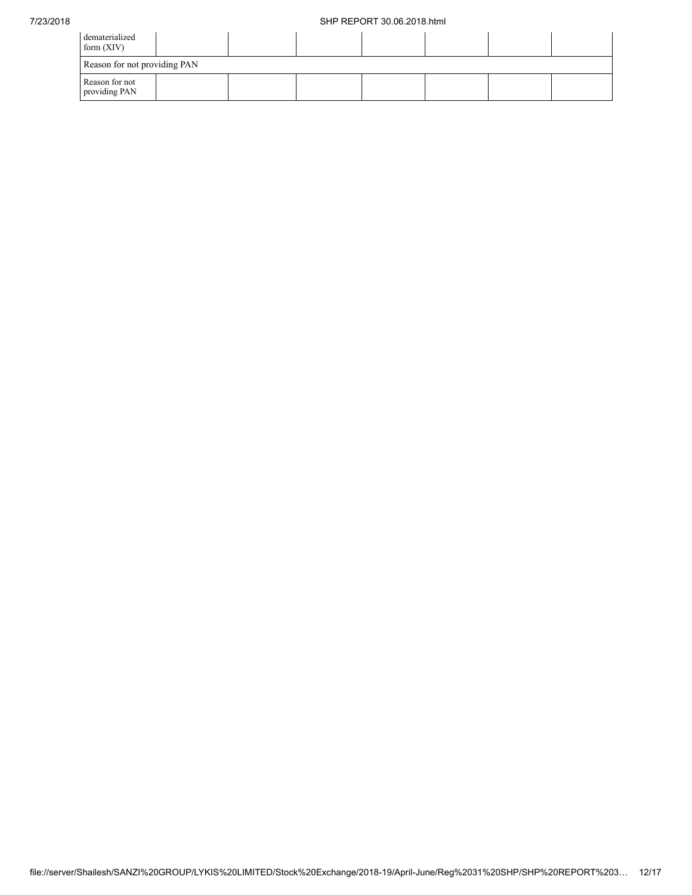| dematerialized<br>form $(XIV)$  |  |  |  |  |  |  |  |  |  |  |
|---------------------------------|--|--|--|--|--|--|--|--|--|--|
| Reason for not providing PAN    |  |  |  |  |  |  |  |  |  |  |
| Reason for not<br>providing PAN |  |  |  |  |  |  |  |  |  |  |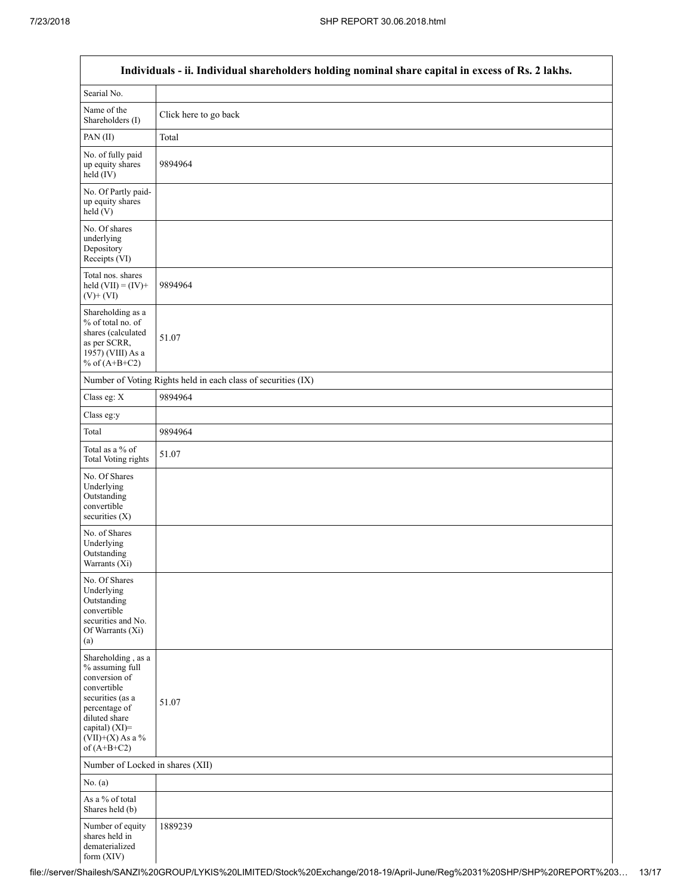Г

a l

|                                                                                                                                                                                      | Individuals - ii. Individual shareholders holding nominal share capital in excess of Rs. 2 lakhs. |
|--------------------------------------------------------------------------------------------------------------------------------------------------------------------------------------|---------------------------------------------------------------------------------------------------|
| Searial No.                                                                                                                                                                          |                                                                                                   |
| Name of the<br>Shareholders (I)                                                                                                                                                      | Click here to go back                                                                             |
| PAN(II)                                                                                                                                                                              | Total                                                                                             |
| No. of fully paid<br>up equity shares<br>$held$ (IV)                                                                                                                                 | 9894964                                                                                           |
| No. Of Partly paid-<br>up equity shares<br>held(V)                                                                                                                                   |                                                                                                   |
| No. Of shares<br>underlying<br>Depository<br>Receipts (VI)                                                                                                                           |                                                                                                   |
| Total nos. shares<br>held $(VII) = (IV) +$<br>$(V)$ + $(VI)$                                                                                                                         | 9894964                                                                                           |
| Shareholding as a<br>% of total no. of<br>shares (calculated<br>as per SCRR,<br>1957) (VIII) As a<br>% of $(A+B+C2)$                                                                 | 51.07                                                                                             |
|                                                                                                                                                                                      | Number of Voting Rights held in each class of securities (IX)                                     |
| Class eg: X                                                                                                                                                                          | 9894964                                                                                           |
| Class eg:y                                                                                                                                                                           |                                                                                                   |
| Total                                                                                                                                                                                | 9894964                                                                                           |
| Total as a % of<br><b>Total Voting rights</b>                                                                                                                                        | 51.07                                                                                             |
| No. Of Shares<br>Underlying<br>Outstanding<br>convertible<br>securities (X)                                                                                                          |                                                                                                   |
| No. of Shares<br>Underlying<br>Outstanding<br>Warrants (Xi)                                                                                                                          |                                                                                                   |
| No. Of Shares<br>Underlying<br>Outstanding<br>convertible<br>securities and No.<br>Of Warrants (Xi)<br>(a)                                                                           |                                                                                                   |
| Shareholding, as a<br>% assuming full<br>conversion of<br>convertible<br>securities (as a<br>percentage of<br>diluted share<br>capital) (XI)=<br>$(VII)+(X)$ As a %<br>of $(A+B+C2)$ | 51.07                                                                                             |
| Number of Locked in shares (XII)                                                                                                                                                     |                                                                                                   |
| No. $(a)$                                                                                                                                                                            |                                                                                                   |
| As a % of total<br>Shares held (b)                                                                                                                                                   |                                                                                                   |
| Number of equity<br>shares held in<br>dematerialized<br>form (XIV)                                                                                                                   | 1889239                                                                                           |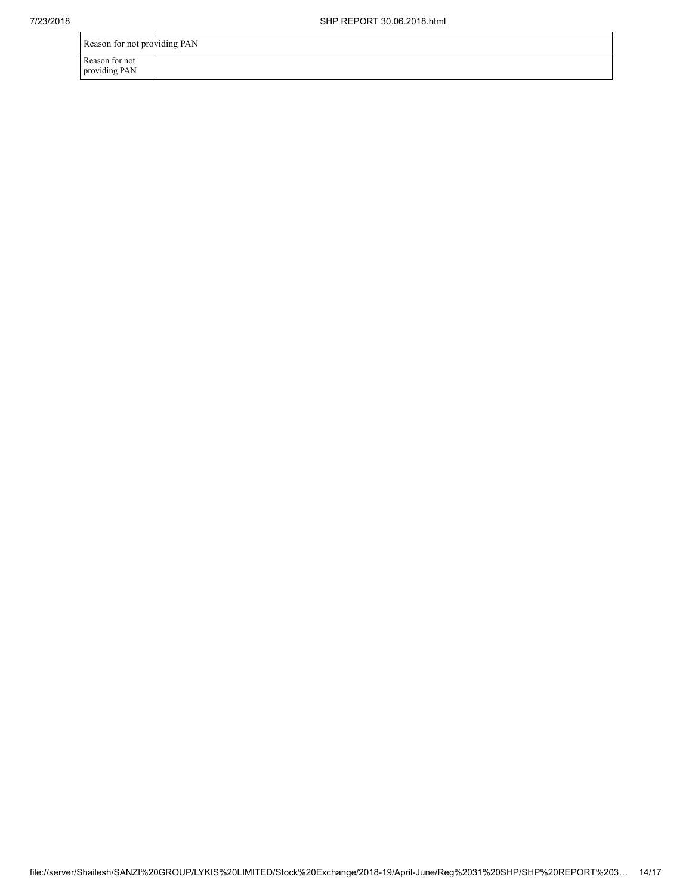| Reason for not providing PAN    |  |  |  |  |
|---------------------------------|--|--|--|--|
| Reason for not<br>providing PAN |  |  |  |  |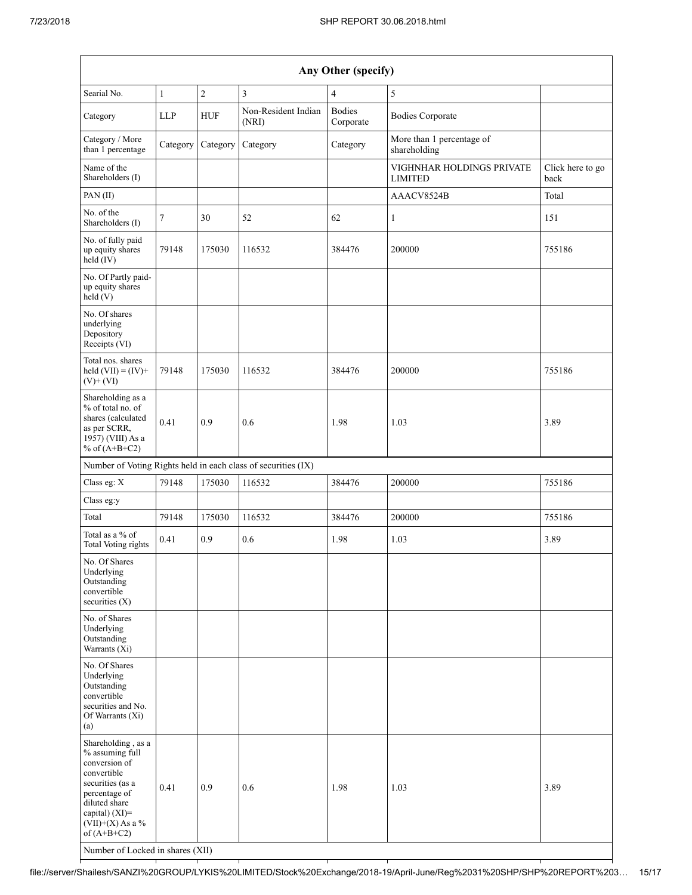| Any Other (specify)                                                                                                                                                                                                      |                |                |                                                               |                            |                                             |                          |
|--------------------------------------------------------------------------------------------------------------------------------------------------------------------------------------------------------------------------|----------------|----------------|---------------------------------------------------------------|----------------------------|---------------------------------------------|--------------------------|
| Searial No.                                                                                                                                                                                                              | $\mathbf{1}$   | $\overline{c}$ | $\mathfrak{Z}$                                                | $\overline{4}$             | $\sqrt{5}$                                  |                          |
| Category                                                                                                                                                                                                                 | <b>LLP</b>     | <b>HUF</b>     | Non-Resident Indian<br>(NRI)                                  | <b>Bodies</b><br>Corporate | <b>Bodies Corporate</b>                     |                          |
| Category / More<br>than 1 percentage                                                                                                                                                                                     | Category       | Category       | Category                                                      | Category                   | More than 1 percentage of<br>shareholding   |                          |
| Name of the<br>Shareholders (I)                                                                                                                                                                                          |                |                |                                                               |                            | VIGHNHAR HOLDINGS PRIVATE<br><b>LIMITED</b> | Click here to go<br>back |
| PAN (II)                                                                                                                                                                                                                 |                |                |                                                               |                            | AAACV8524B                                  | Total                    |
| No. of the<br>Shareholders (I)                                                                                                                                                                                           | $\overline{7}$ | 30             | 52                                                            | 62                         | $\mathbf{1}$                                | 151                      |
| No. of fully paid<br>up equity shares<br>held (IV)                                                                                                                                                                       | 79148          | 175030         | 116532                                                        | 384476                     | 200000                                      | 755186                   |
| No. Of Partly paid-<br>up equity shares<br>held(V)                                                                                                                                                                       |                |                |                                                               |                            |                                             |                          |
| No. Of shares<br>underlying<br>Depository<br>Receipts (VI)                                                                                                                                                               |                |                |                                                               |                            |                                             |                          |
| Total nos. shares<br>held $(VII) = (IV) +$<br>$(V)$ + $(VI)$                                                                                                                                                             | 79148          | 175030         | 116532                                                        | 384476                     | 200000                                      | 755186                   |
| Shareholding as a<br>% of total no. of<br>shares (calculated<br>as per SCRR,<br>1957) (VIII) As a<br>% of $(A+B+C2)$                                                                                                     | 0.41           | 0.9            | 0.6                                                           | 1.98                       | 1.03                                        | 3.89                     |
|                                                                                                                                                                                                                          |                |                | Number of Voting Rights held in each class of securities (IX) |                            |                                             |                          |
| Class eg: X                                                                                                                                                                                                              | 79148          | 175030         | 116532                                                        | 384476                     | 200000                                      | 755186                   |
| Class eg:y                                                                                                                                                                                                               |                |                |                                                               |                            |                                             |                          |
| Total                                                                                                                                                                                                                    | 79148          | 175030         | 116532                                                        | 384476                     | 200000                                      | 755186                   |
| Total as a % of<br>Total Voting rights                                                                                                                                                                                   | 0.41           | 0.9            | 0.6                                                           | 1.98                       | 1.03                                        | 3.89                     |
| No. Of Shares<br>Underlying<br>Outstanding<br>convertible<br>securities $(X)$                                                                                                                                            |                |                |                                                               |                            |                                             |                          |
| No. of Shares<br>Underlying<br>Outstanding<br>Warrants (Xi)                                                                                                                                                              |                |                |                                                               |                            |                                             |                          |
| No. Of Shares<br>Underlying<br>Outstanding<br>convertible<br>securities and No.<br>Of Warrants (Xi)<br>(a)                                                                                                               |                |                |                                                               |                            |                                             |                          |
| Shareholding, as a<br>% assuming full<br>conversion of<br>convertible<br>securities (as a<br>percentage of<br>diluted share<br>capital) (XI)=<br>$(VII)+(X)$ As a %<br>of $(A+B+C2)$<br>Number of Locked in shares (XII) | 0.41           | 0.9            | 0.6                                                           | 1.98                       | 1.03                                        | 3.89                     |

file://server/Shailesh/SANZI%20GROUP/LYKIS%20LIMITED/Stock%20Exchange/2018-19/April-June/Reg%2031%20SHP/SHP%20REPORT%203… 15/17